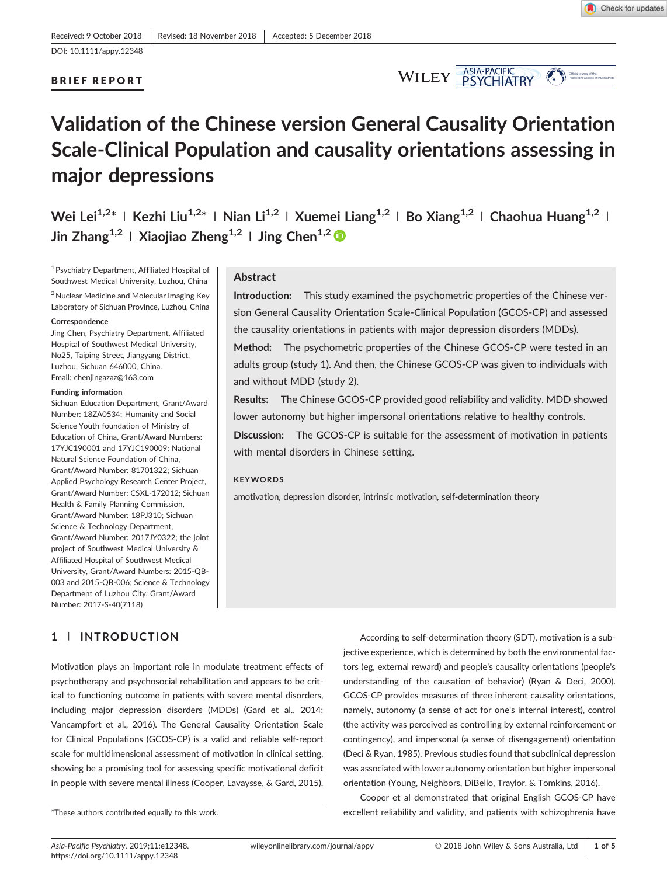

# Validation of the Chinese version General Causality Orientation Scale‐Clinical Population and causality orientations assessing in major depressions

Wei Lei<sup>1,2\*</sup> | Kezhi Liu<sup>1,2\*</sup> | Nian Li<sup>1,2</sup> | Xuemei Liang<sup>1,2</sup> | Bo Xiang<sup>1,2</sup> | Chaohua Huang<sup>1,2</sup> | Jin Zhang<sup>1,2</sup> | Xiaojiao Zheng<sup>1,2</sup> | Jing Chen<sup>1,2</sup>

1Psychiatry Department, Affiliated Hospital of Southwest Medical University, Luzhou, China 2Nuclear Medicine and Molecular Imaging Key Laboratory of Sichuan Province, Luzhou, China

#### **Correspondence**

Jing Chen, Psychiatry Department, Affiliated Hospital of Southwest Medical University, No25, Taiping Street, Jiangyang District, Luzhou, Sichuan 646000, China. Email: [chenjingazaz@163.com](mailto:chenjingazaz@163.com)

#### Funding information

Sichuan Education Department, Grant/Award Number: 18ZA0534; Humanity and Social Science Youth foundation of Ministry of Education of China, Grant/Award Numbers: 17YJC190001 and 17YJC190009; National Natural Science Foundation of China, Grant/Award Number: 81701322; Sichuan Applied Psychology Research Center Project, Grant/Award Number: CSXL‐172012; Sichuan Health & Family Planning Commission, Grant/Award Number: 18PJ310; Sichuan Science & Technology Department, Grant/Award Number: 2017JY0322; the joint project of Southwest Medical University & Affiliated Hospital of Southwest Medical University, Grant/Award Numbers: 2015‐QB‐ 003 and 2015‐QB‐006; Science & Technology Department of Luzhou City, Grant/Award Number: 2017‐S‐40(7118)

# 1 | INTRODUCTION

Motivation plays an important role in modulate treatment effects of psychotherapy and psychosocial rehabilitation and appears to be critical to functioning outcome in patients with severe mental disorders, including major depression disorders (MDDs) (Gard et al., 2014; Vancampfort et al., 2016). The General Causality Orientation Scale for Clinical Populations (GCOS‐CP) is a valid and reliable self‐report scale for multidimensional assessment of motivation in clinical setting, showing be a promising tool for assessing specific motivational deficit in people with severe mental illness (Cooper, Lavaysse, & Gard, 2015).

# Abstract

Introduction: This study examined the psychometric properties of the Chinese version General Causality Orientation Scale‐Clinical Population (GCOS‐CP) and assessed the causality orientations in patients with major depression disorders (MDDs).

Method: The psychometric properties of the Chinese GCOS-CP were tested in an adults group (study 1). And then, the Chinese GCOS‐CP was given to individuals with and without MDD (study 2).

Results: The Chinese GCOS‐CP provided good reliability and validity. MDD showed lower autonomy but higher impersonal orientations relative to healthy controls.

Discussion: The GCOS-CP is suitable for the assessment of motivation in patients with mental disorders in Chinese setting.

# **KEYWORDS**

amotivation, depression disorder, intrinsic motivation, self‐determination theory

According to self‐determination theory (SDT), motivation is a subjective experience, which is determined by both the environmental factors (eg, external reward) and people's causality orientations (people's understanding of the causation of behavior) (Ryan & Deci, 2000). GCOS‐CP provides measures of three inherent causality orientations, namely, autonomy (a sense of act for one's internal interest), control (the activity was perceived as controlling by external reinforcement or contingency), and impersonal (a sense of disengagement) orientation (Deci & Ryan, 1985). Previous studies found that subclinical depression was associated with lower autonomy orientation but higher impersonal orientation (Young, Neighbors, DiBello, Traylor, & Tomkins, 2016).

Cooper et al demonstrated that original English GCOS‐CP have \*These authors contributed equally to this work. excellent reliability and validity, and patients with schizophrenia have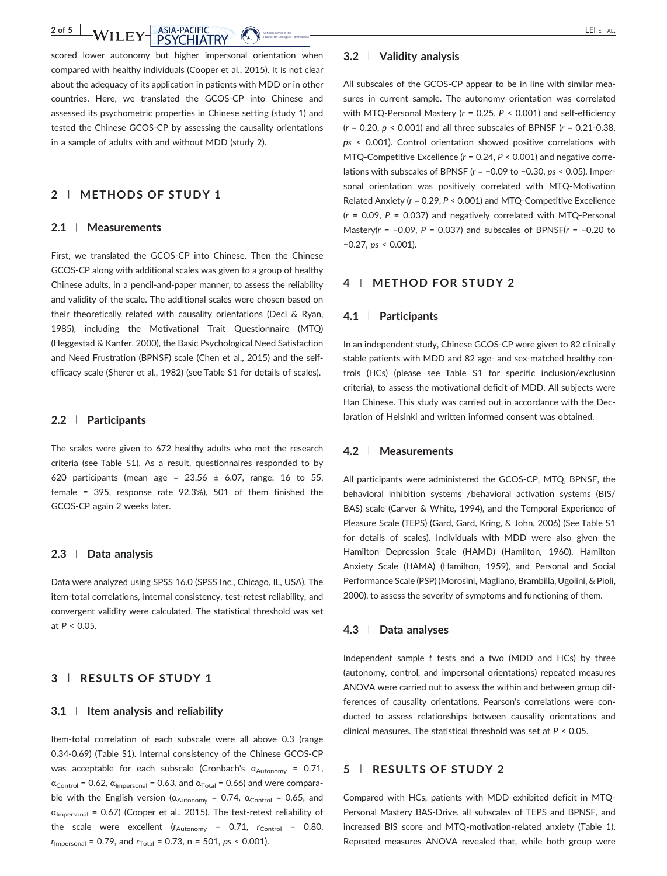scored lower autonomy but higher impersonal orientation when compared with healthy individuals (Cooper et al., 2015). It is not clear about the adequacy of its application in patients with MDD or in other countries. Here, we translated the GCOS‐CP into Chinese and assessed its psychometric properties in Chinese setting (study 1) and tested the Chinese GCOS‐CP by assessing the causality orientations in a sample of adults with and without MDD (study 2).

Pacific Rim College of

bs\_bs\_banner

# 2 | METHODS OF STUDY 1

#### 2.1 | Measurements

First, we translated the GCOS‐CP into Chinese. Then the Chinese GCOS‐CP along with additional scales was given to a group of healthy Chinese adults, in a pencil‐and‐paper manner, to assess the reliability and validity of the scale. The additional scales were chosen based on their theoretically related with causality orientations (Deci & Ryan, 1985), including the Motivational Trait Questionnaire (MTQ) (Heggestad & Kanfer, 2000), the Basic Psychological Need Satisfaction and Need Frustration (BPNSF) scale (Chen et al., 2015) and the self‐ efficacy scale (Sherer et al., 1982) (see Table S1 for details of scales).

#### 2.2 | Participants

The scales were given to 672 healthy adults who met the research criteria (see Table S1). As a result, questionnaires responded to by 620 participants (mean age =  $23.56 \pm 6.07$ , range: 16 to 55, female = 395, response rate 92.3%), 501 of them finished the GCOS‐CP again 2 weeks later.

#### 2.3 | Data analysis

Data were analyzed using SPSS 16.0 (SPSS Inc., Chicago, IL, USA). The item-total correlations, internal consistency, test-retest reliability, and convergent validity were calculated. The statistical threshold was set at  $P < 0.05$ .

# 3 | RESULTS OF STUDY 1

#### $3.1$  | Item analysis and reliability

Item-total correlation of each subscale were all above 0.3 (range 0.34‐0.69) (Table S1). Internal consistency of the Chinese GCOS‐CP was acceptable for each subscale (Cronbach's  $\alpha_{\text{Autonomy}} = 0.71$ ,  $\alpha_{\text{Control}} = 0.62$ ,  $\alpha_{\text{Impersonal}} = 0.63$ , and  $\alpha_{\text{Total}} = 0.66$ ) and were comparable with the English version ( $\alpha_{\text{Autonomy}} = 0.74$ ,  $\alpha_{\text{Control}} = 0.65$ , and  $\alpha$ <sub>Impersonal</sub> = 0.67) (Cooper et al., 2015). The test-retest reliability of the scale were excellent  $(r_{\text{Autonomy}} = 0.71, r_{\text{Control}} = 0.80,$  $r_{\text{Impersonal}} = 0.79$ , and  $r_{\text{Total}} = 0.73$ , n = 501, ps < 0.001).

#### 3.2 | Validity analysis

All subscales of the GCOS‐CP appear to be in line with similar measures in current sample. The autonomy orientation was correlated with MTQ-Personal Mastery ( $r = 0.25$ ,  $P < 0.001$ ) and self-efficiency  $(r = 0.20, p < 0.001)$  and all three subscales of BPNSF  $(r = 0.21 - 0.38,$ ps < 0.001). Control orientation showed positive correlations with MTQ-Competitive Excellence ( $r = 0.24$ ,  $P < 0.001$ ) and negative correlations with subscales of BPNSF (r = −0.09 to −0.30, ps < 0.05). Impersonal orientation was positively correlated with MTQ‐Motivation Related Anxiety (r = 0.29, P < 0.001) and MTQ‐Competitive Excellence  $(r = 0.09, P = 0.037)$  and negatively correlated with MTQ-Personal Mastery(r = −0.09, P = 0.037) and subscales of BPNSF(r = −0.20 to −0.27, ps < 0.001).

# 4 | METHOD FOR STUDY 2

# 4.1 | Participants

In an independent study, Chinese GCOS‐CP were given to 82 clinically stable patients with MDD and 82 age- and sex-matched healthy controls (HCs) (please see Table S1 for specific inclusion/exclusion criteria), to assess the motivational deficit of MDD. All subjects were Han Chinese. This study was carried out in accordance with the Declaration of Helsinki and written informed consent was obtained.

#### 4.2 | Measurements

All participants were administered the GCOS‐CP, MTQ, BPNSF, the behavioral inhibition systems /behavioral activation systems (BIS/ BAS) scale (Carver & White, 1994), and the Temporal Experience of Pleasure Scale (TEPS) (Gard, Gard, Kring, & John, 2006) (See Table S1 for details of scales). Individuals with MDD were also given the Hamilton Depression Scale (HAMD) (Hamilton, 1960), Hamilton Anxiety Scale (HAMA) (Hamilton, 1959), and Personal and Social Performance Scale (PSP) (Morosini, Magliano, Brambilla, Ugolini, & Pioli, 2000), to assess the severity of symptoms and functioning of them.

# 4.3 | Data analyses

Independent sample t tests and a two (MDD and HCs) by three (autonomy, control, and impersonal orientations) repeated measures ANOVA were carried out to assess the within and between group differences of causality orientations. Pearson's correlations were conducted to assess relationships between causality orientations and clinical measures. The statistical threshold was set at  $P < 0.05$ .

# 5 | RESULTS OF STUDY 2

Compared with HCs, patients with MDD exhibited deficit in MTQ‐ Personal Mastery BAS‐Drive, all subscales of TEPS and BPNSF, and increased BIS score and MTQ‐motivation‐related anxiety (Table 1). Repeated measures ANOVA revealed that, while both group were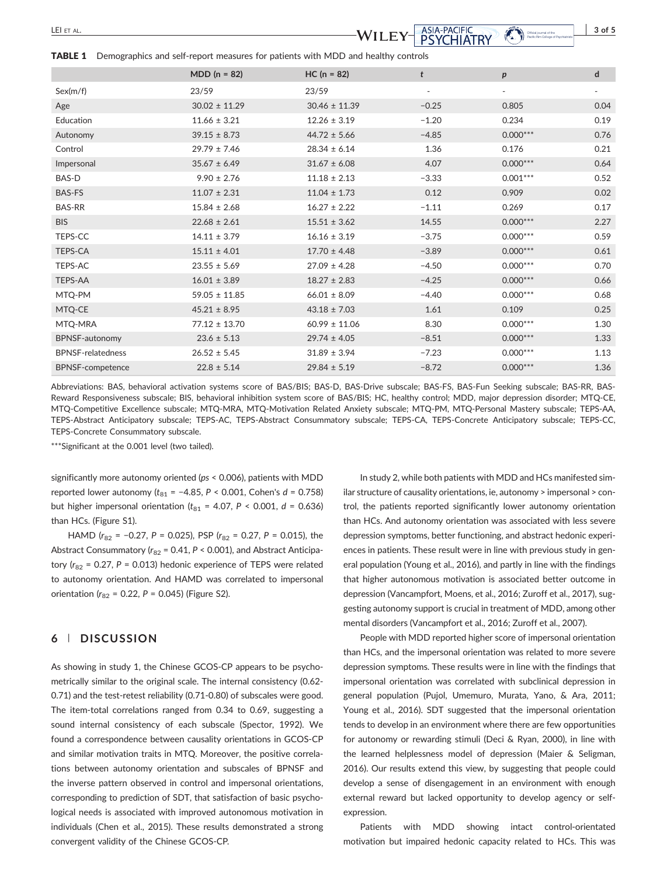LEI ET AL. 3 of 5 bs\_bs\_banner

Parific Rm College o

TABLE 1 Demographics and self-report measures for patients with MDD and healthy controls

|                          | $MDD (n = 82)$    | $HC (n = 82)$     | t       | $\boldsymbol{p}$         | $\mathsf{d}$             |
|--------------------------|-------------------|-------------------|---------|--------------------------|--------------------------|
| Sex(m/f)                 | 23/59             | 23/59             |         | $\overline{\phantom{a}}$ | $\overline{\phantom{a}}$ |
| Age                      | $30.02 \pm 11.29$ | $30.46 \pm 11.39$ | $-0.25$ | 0.805                    | 0.04                     |
| Education                | $11.66 \pm 3.21$  | $12.26 \pm 3.19$  | $-1.20$ | 0.234                    | 0.19                     |
| Autonomy                 | $39.15 \pm 8.73$  | $44.72 \pm 5.66$  | $-4.85$ | $0.000***$               | 0.76                     |
| Control                  | $29.79 \pm 7.46$  | $28.34 \pm 6.14$  | 1.36    | 0.176                    | 0.21                     |
| Impersonal               | $35.67 \pm 6.49$  | $31.67 \pm 6.08$  | 4.07    | $0.000***$               | 0.64                     |
| BAS-D                    | $9.90 \pm 2.76$   | $11.18 \pm 2.13$  | $-3.33$ | $0.001***$               | 0.52                     |
| <b>BAS-FS</b>            | $11.07 \pm 2.31$  | $11.04 \pm 1.73$  | 0.12    | 0.909                    | 0.02                     |
| <b>BAS-RR</b>            | $15.84 \pm 2.68$  | $16.27 \pm 2.22$  | $-1.11$ | 0.269                    | 0.17                     |
| <b>BIS</b>               | $22.68 \pm 2.61$  | $15.51 \pm 3.62$  | 14.55   | $0.000***$               | 2.27                     |
| TEPS-CC                  | $14.11 \pm 3.79$  | $16.16 \pm 3.19$  | $-3.75$ | $0.000***$               | 0.59                     |
| <b>TEPS-CA</b>           | $15.11 \pm 4.01$  | $17.70 \pm 4.48$  | $-3.89$ | $0.000***$               | 0.61                     |
| <b>TEPS-AC</b>           | $23.55 \pm 5.69$  | $27.09 \pm 4.28$  | $-4.50$ | $0.000***$               | 0.70                     |
| TEPS-AA                  | $16.01 \pm 3.89$  | $18.27 \pm 2.83$  | $-4.25$ | $0.000***$               | 0.66                     |
| MTQ-PM                   | $59.05 \pm 11.85$ | $66.01 \pm 8.09$  | $-4.40$ | $0.000***$               | 0.68                     |
| MTQ-CE                   | $45.21 \pm 8.95$  | $43.18 \pm 7.03$  | 1.61    | 0.109                    | 0.25                     |
| MTQ-MRA                  | $77.12 \pm 13.70$ | $60.99 \pm 11.06$ | 8.30    | $0.000***$               | 1.30                     |
| <b>BPNSF-autonomy</b>    | $23.6 \pm 5.13$   | $29.74 \pm 4.05$  | $-8.51$ | $0.000***$               | 1.33                     |
| <b>BPNSF-relatedness</b> | $26.52 \pm 5.45$  | $31.89 \pm 3.94$  | $-7.23$ | $0.000***$               | 1.13                     |
| <b>BPNSF-competence</b>  | $22.8 \pm 5.14$   | $29.84 \pm 5.19$  | $-8.72$ | $0.000***$               | 1.36                     |
|                          |                   |                   |         |                          |                          |

Abbreviations: BAS, behavioral activation systems score of BAS/BIS; BAS‐D, BAS‐Drive subscale; BAS‐FS, BAS‐Fun Seeking subscale; BAS‐RR, BAS‐ Reward Responsiveness subscale; BIS, behavioral inhibition system score of BAS/BIS; HC, healthy control; MDD, major depression disorder; MTQ‐CE, MTQ‐Competitive Excellence subscale; MTQ‐MRA, MTQ‐Motivation Related Anxiety subscale; MTQ‐PM, MTQ‐Personal Mastery subscale; TEPS‐AA, TEPS‐Abstract Anticipatory subscale; TEPS‐AC, TEPS‐Abstract Consummatory subscale; TEPS‐CA, TEPS‐Concrete Anticipatory subscale; TEPS‐CC, TEPS‐Concrete Consummatory subscale.

\*\*\*Significant at the 0.001 level (two tailed).

significantly more autonomy oriented (ps < 0.006), patients with MDD reported lower autonomy ( $t_{81}$  = −4.85, P < 0.001, Cohen's  $d$  = 0.758) but higher impersonal orientation ( $t_{81}$  = 4.07, P < 0.001, d = 0.636) than HCs. (Figure S1).

HAMD ( $r_{82}$  = -0.27, P = 0.025), PSP ( $r_{82}$  = 0.27, P = 0.015), the Abstract Consummatory ( $r_{82}$  = 0.41, P < 0.001), and Abstract Anticipatory ( $r_{82}$  = 0.27, P = 0.013) hedonic experience of TEPS were related to autonomy orientation. And HAMD was correlated to impersonal orientation ( $r_{82}$  = 0.22, P = 0.045) (Figure S2).

# 6 | DISCUSSION

As showing in study 1, the Chinese GCOS‐CP appears to be psychometrically similar to the original scale. The internal consistency (0.62‐ 0.71) and the test-retest reliability (0.71-0.80) of subscales were good. The item-total correlations ranged from 0.34 to 0.69, suggesting a sound internal consistency of each subscale (Spector, 1992). We found a correspondence between causality orientations in GCOS‐CP and similar motivation traits in MTQ. Moreover, the positive correlations between autonomy orientation and subscales of BPNSF and the inverse pattern observed in control and impersonal orientations, corresponding to prediction of SDT, that satisfaction of basic psychological needs is associated with improved autonomous motivation in individuals (Chen et al., 2015). These results demonstrated a strong convergent validity of the Chinese GCOS‐CP.

In study 2, while both patients with MDD and HCs manifested similar structure of causality orientations, ie, autonomy > impersonal > control, the patients reported significantly lower autonomy orientation than HCs. And autonomy orientation was associated with less severe depression symptoms, better functioning, and abstract hedonic experiences in patients. These result were in line with previous study in general population (Young et al., 2016), and partly in line with the findings that higher autonomous motivation is associated better outcome in depression (Vancampfort, Moens, et al., 2016; Zuroff et al., 2017), suggesting autonomy support is crucial in treatment of MDD, among other mental disorders (Vancampfort et al., 2016; Zuroff et al., 2007).

People with MDD reported higher score of impersonal orientation than HCs, and the impersonal orientation was related to more severe depression symptoms. These results were in line with the findings that impersonal orientation was correlated with subclinical depression in general population (Pujol, Umemuro, Murata, Yano, & Ara, 2011; Young et al., 2016). SDT suggested that the impersonal orientation tends to develop in an environment where there are few opportunities for autonomy or rewarding stimuli (Deci & Ryan, 2000), in line with the learned helplessness model of depression (Maier & Seligman, 2016). Our results extend this view, by suggesting that people could develop a sense of disengagement in an environment with enough external reward but lacked opportunity to develop agency or self‐ expression.

Patients with MDD showing intact control‐orientated motivation but impaired hedonic capacity related to HCs. This was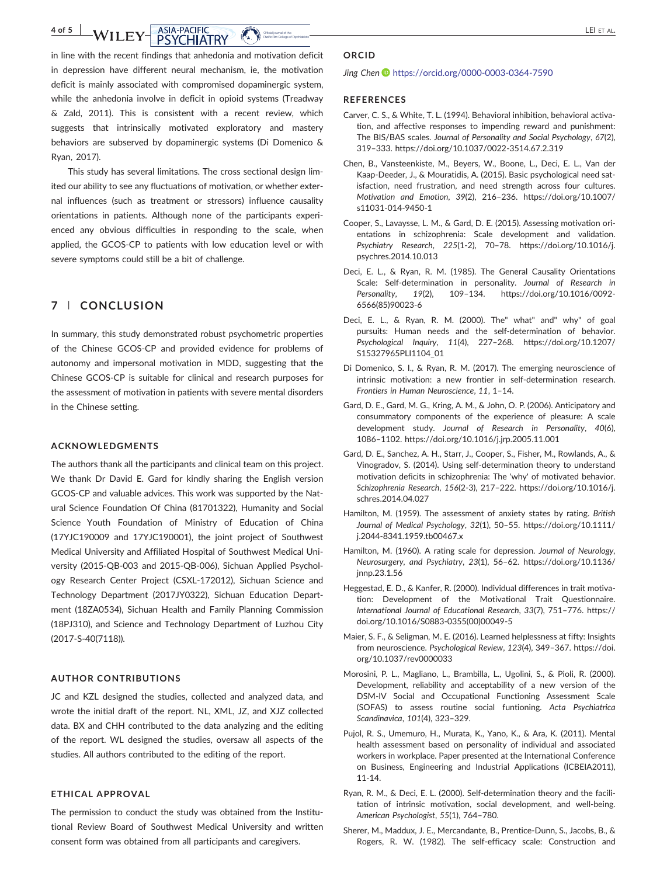#### 4 of 5 WILEY ASIA-PACIFIC LEI ET AL. WILEY- $\,$ Pacific Rim College of

in line with the recent findings that anhedonia and motivation deficit in depression have different neural mechanism, ie, the motivation deficit is mainly associated with compromised dopaminergic system, while the anhedonia involve in deficit in opioid systems (Treadway & Zald, 2011). This is consistent with a recent review, which suggests that intrinsically motivated exploratory and mastery behaviors are subserved by dopaminergic systems (Di Domenico & Ryan, 2017).

This study has several limitations. The cross sectional design limited our ability to see any fluctuations of motivation, or whether external influences (such as treatment or stressors) influence causality orientations in patients. Although none of the participants experienced any obvious difficulties in responding to the scale, when applied, the GCOS‐CP to patients with low education level or with severe symptoms could still be a bit of challenge.

# 7 | CONCLUSION

In summary, this study demonstrated robust psychometric properties of the Chinese GCOS‐CP and provided evidence for problems of autonomy and impersonal motivation in MDD, suggesting that the Chinese GCOS‐CP is suitable for clinical and research purposes for the assessment of motivation in patients with severe mental disorders in the Chinese setting.

#### ACKNOWLEDGMENTS

The authors thank all the participants and clinical team on this project. We thank Dr David E. Gard for kindly sharing the English version GCOS‐CP and valuable advices. This work was supported by the Natural Science Foundation Of China (81701322), Humanity and Social Science Youth Foundation of Ministry of Education of China (17YJC190009 and 17YJC190001), the joint project of Southwest Medical University and Affiliated Hospital of Southwest Medical University (2015‐QB‐003 and 2015‐QB‐006), Sichuan Applied Psychology Research Center Project (CSXL‐172012), Sichuan Science and Technology Department (2017JY0322), Sichuan Education Department (18ZA0534), Sichuan Health and Family Planning Commission (18PJ310), and Science and Technology Department of Luzhou City (2017‐S‐40(7118)).

# AUTHOR CONTRIBUTIONS

JC and KZL designed the studies, collected and analyzed data, and wrote the initial draft of the report. NL, XML, JZ, and XJZ collected data. BX and CHH contributed to the data analyzing and the editing of the report. WL designed the studies, oversaw all aspects of the studies. All authors contributed to the editing of the report.

#### ETHICAL APPROVAL

The permission to conduct the study was obtained from the Institutional Review Board of Southwest Medical University and written consent form was obtained from all participants and caregivers.

# ORCID

#### Jing Chen <https://orcid.org/0000-0003-0364-7590>

#### **REFERENCES**

- Carver, C. S., & White, T. L. (1994). Behavioral inhibition, behavioral activation, and affective responses to impending reward and punishment: The BIS/BAS scales. Journal of Personality and Social Psychology, 67(2), 319–333. [https://doi.org/10.1037/0022](https://doi.org/10.1037/0022-3514.67.2.319)‐3514.67.2.319
- Chen, B., Vansteenkiste, M., Beyers, W., Boone, L., Deci, E. L., Van der Kaap‐Deeder, J., & Mouratidis, A. (2015). Basic psychological need satisfaction, need frustration, and need strength across four cultures. Motivation and Emotion, 39(2), 216–236. [https://doi.org/10.1007/](https://doi.org/10.1007/s11031-014-9450-1) [s11031](https://doi.org/10.1007/s11031-014-9450-1)‐014‐9450‐1
- Cooper, S., Lavaysse, L. M., & Gard, D. E. (2015). Assessing motivation orientations in schizophrenia: Scale development and validation. Psychiatry Research, 225(1‐2), 70–78. [https://doi.org/10.1016/j.](https://doi.org/10.1016/j.psychres.2014.10.013) [psychres.2014.10.013](https://doi.org/10.1016/j.psychres.2014.10.013)
- Deci, E. L., & Ryan, R. M. (1985). The General Causality Orientations Scale: Self-determination in personality. Journal of Research in Personality, 19(2), 109–134. [https://doi.org/10.1016/0092](https://doi.org/10.1016/0092-6566(85)90023-6)‐ [6566\(85\)90023](https://doi.org/10.1016/0092-6566(85)90023-6)‐6
- Deci, E. L., & Ryan, R. M. (2000). The" what" and" why" of goal pursuits: Human needs and the self-determination of behavior. Psychological Inquiry, 11(4), 227–268. [https://doi.org/10.1207/](https://doi.org/10.1207/S15327965PLI1104_01) [S15327965PLI1104\\_01](https://doi.org/10.1207/S15327965PLI1104_01)
- Di Domenico, S. I., & Ryan, R. M. (2017). The emerging neuroscience of intrinsic motivation: a new frontier in self-determination research. Frontiers in Human Neuroscience, 11, 1–14.
- Gard, D. E., Gard, M. G., Kring, A. M., & John, O. P. (2006). Anticipatory and consummatory components of the experience of pleasure: A scale development study. Journal of Research in Personality, 40(6), 1086–1102.<https://doi.org/10.1016/j.jrp.2005.11.001>
- Gard, D. E., Sanchez, A. H., Starr, J., Cooper, S., Fisher, M., Rowlands, A., & Vinogradov, S. (2014). Using self‐determination theory to understand motivation deficits in schizophrenia: The 'why' of motivated behavior. Schizophrenia Research, 156(2‐3), 217–222. [https://doi.org/10.1016/j.](https://doi.org/10.1016/j.schres.2014.04.027) [schres.2014.04.027](https://doi.org/10.1016/j.schres.2014.04.027)
- Hamilton, M. (1959). The assessment of anxiety states by rating. British Journal of Medical Psychology, 32(1), 50–55. [https://doi.org/10.1111/](https://doi.org/10.1111/j.2044-8341.1959.tb00467.x) j.2044‐[8341.1959.tb00467.x](https://doi.org/10.1111/j.2044-8341.1959.tb00467.x)
- Hamilton, M. (1960). A rating scale for depression. Journal of Neurology, Neurosurgery, and Psychiatry, 23(1), 56–62. [https://doi.org/10.1136/](https://doi.org/10.1136/jnnp.23.1.56) [jnnp.23.1.56](https://doi.org/10.1136/jnnp.23.1.56)
- Heggestad, E. D., & Kanfer, R. (2000). Individual differences in trait motivation: Development of the Motivational Trait Questionnaire. International Journal of Educational Research, 33(7), 751–776. [https://](https://doi.org/10.1016/S0883-0355(00)00049-5) [doi.org/10.1016/S0883](https://doi.org/10.1016/S0883-0355(00)00049-5)‐0355(00)00049‐5
- Maier, S. F., & Seligman, M. E. (2016). Learned helplessness at fifty: Insights from neuroscience. Psychological Review, 123(4), 349–367. [https://doi.](https://doi.org/10.1037/rev0000033) [org/10.1037/rev0000033](https://doi.org/10.1037/rev0000033)
- Morosini, P. L., Magliano, L., Brambilla, L., Ugolini, S., & Pioli, R. (2000). Development, reliability and acceptability of a new version of the DSM‐IV Social and Occupational Functioning Assessment Scale (SOFAS) to assess routine social funtioning. Acta Psychiatrica Scandinavica, 101(4), 323–329.
- Pujol, R. S., Umemuro, H., Murata, K., Yano, K., & Ara, K. (2011). Mental health assessment based on personality of individual and associated workers in workplace. Paper presented at the International Conference on Business, Engineering and Industrial Applications (ICBEIA2011), 11‐14.
- Ryan, R. M., & Deci, E. L. (2000). Self‐determination theory and the facilitation of intrinsic motivation, social development, and well‐being. American Psychologist, 55(1), 764–780.
- Sherer, M., Maddux, J. E., Mercandante, B., Prentice‐Dunn, S., Jacobs, B., & Rogers, R. W. (1982). The self‐efficacy scale: Construction and